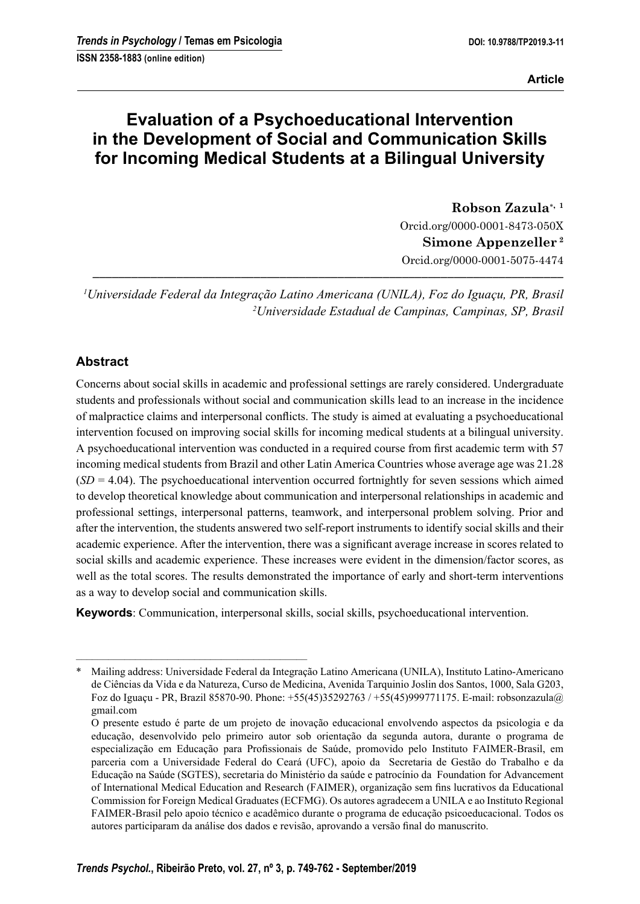# **Evaluation of a Psychoeducational Intervention in the Development of Social and Communication Skills for Incoming Medical Students at a Bilingual University**

**Robson Zazula, <sup>1</sup>** Orcid.org/0000-0001-8473-050X **Simone Appenzeller 2** Orcid.org/0000-0001-5075-4474

*1 Universidade Federal da Integração Latino Americana (UNILA), Foz do Iguaçu, PR, Brasil 2 Universidade Estadual de Campinas, Campinas, SP, Brasil*

**–––––––––––––––––––––––––––––––––––––––––––––––––––––––––––––––––––––––––**

# **Abstract**

Concerns about social skills in academic and professional settings are rarely considered. Undergraduate students and professionals without social and communication skills lead to an increase in the incidence of malpractice claims and interpersonal conflicts. The study is aimed at evaluating a psychoeducational intervention focused on improving social skills for incoming medical students at a bilingual university. A psychoeducational intervention was conducted in a required course from first academic term with 57 incoming medical students from Brazil and other Latin America Countries whose average age was 21.28  $(SD = 4.04)$ . The psychoeducational intervention occurred fortnightly for seven sessions which aimed to develop theoretical knowledge about communication and interpersonal relationships in academic and professional settings, interpersonal patterns, teamwork, and interpersonal problem solving. Prior and after the intervention, the students answered two self-report instruments to identify social skills and their academic experience. After the intervention, there was a significant average increase in scores related to social skills and academic experience. These increases were evident in the dimension/factor scores, as well as the total scores. The results demonstrated the importance of early and short-term interventions as a way to develop social and communication skills.

**Keywords**: Communication, interpersonal skills, social skills, psychoeducational intervention.

–––––––––––––––––––––––––––––––––––––––––––

<sup>\*</sup> Mailing address: Universidade Federal da Integração Latino Americana (UNILA), Instituto Latino-Americano de Ciências da Vida e da Natureza, Curso de Medicina, Avenida Tarquinio Joslin dos Santos, 1000, Sala G203, Foz do Iguaçu - PR, Brazil 85870-90. Phone: +55(45)35292763 / +55(45)999771175. E-mail: robsonzazula@ gmail.com

O presente estudo é parte de um projeto de inovação educacional envolvendo aspectos da psicologia e da educação, desenvolvido pelo primeiro autor sob orientação da segunda autora, durante o programa de especialização em Educação para Profissionais de Saúde, promovido pelo Instituto FAIMER-Brasil, em parceria com a Universidade Federal do Ceará (UFC), apoio da Secretaria de Gestão do Trabalho e da Educação na Saúde (SGTES), secretaria do Ministério da saúde e patrocínio da Foundation for Advancement of International Medical Education and Research (FAIMER), organização sem fins lucrativos da Educational Commission for Foreign Medical Graduates (ECFMG). Os autores agradecem a UNILA e ao Instituto Regional FAIMER-Brasil pelo apoio técnico e acadêmico durante o programa de educação psicoeducacional. Todos os autores participaram da análise dos dados e revisão, aprovando a versão final do manuscrito.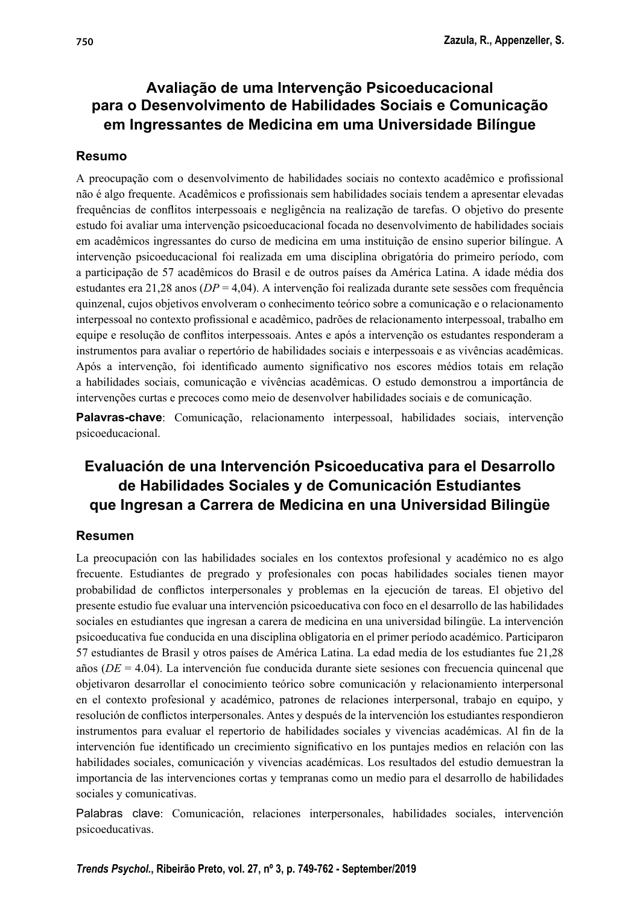# **Avaliação de uma Intervenção Psicoeducacional para o Desenvolvimento de Habilidades Sociais e Comunicação em Ingressantes de Medicina em uma Universidade Bilíngue**

# **Resumo**

A preocupação com o desenvolvimento de habilidades sociais no contexto acadêmico e profissional não é algo frequente. Acadêmicos e profissionais sem habilidades sociais tendem a apresentar elevadas frequências de conflitos interpessoais e negligência na realização de tarefas. O objetivo do presente estudo foi avaliar uma intervenção psicoeducacional focada no desenvolvimento de habilidades sociais em acadêmicos ingressantes do curso de medicina em uma instituição de ensino superior bilíngue. A intervenção psicoeducacional foi realizada em uma disciplina obrigatória do primeiro período, com a participação de 57 acadêmicos do Brasil e de outros países da América Latina. A idade média dos estudantes era 21,28 anos (*DP* = 4,04). A intervenção foi realizada durante sete sessões com frequência quinzenal, cujos objetivos envolveram o conhecimento teórico sobre a comunicação e o relacionamento interpessoal no contexto profissional e acadêmico, padrões de relacionamento interpessoal, trabalho em equipe e resolução de conflitos interpessoais. Antes e após a intervenção os estudantes responderam a instrumentos para avaliar o repertório de habilidades sociais e interpessoais e as vivências acadêmicas. Após a intervenção, foi identificado aumento significativo nos escores médios totais em relação a habilidades sociais, comunicação e vivências acadêmicas. O estudo demonstrou a importância de intervenções curtas e precoces como meio de desenvolver habilidades sociais e de comunicação.

**Palavras-chave**: Comunicação, relacionamento interpessoal, habilidades sociais, intervenção psicoeducacional.

# **Evaluación de una Intervención Psicoeducativa para el Desarrollo de Habilidades Sociales y de Comunicación Estudiantes que Ingresan a Carrera de Medicina en una Universidad Bilingüe**

# **Resumen**

La preocupación con las habilidades sociales en los contextos profesional y académico no es algo frecuente. Estudiantes de pregrado y profesionales con pocas habilidades sociales tienen mayor probabilidad de conflictos interpersonales y problemas en la ejecución de tareas. El objetivo del presente estudio fue evaluar una intervención psicoeducativa con foco en el desarrollo de las habilidades sociales en estudiantes que ingresan a carera de medicina en una universidad bilingüe. La intervención psicoeducativa fue conducida en una disciplina obligatoria en el primer período académico. Participaron 57 estudiantes de Brasil y otros países de América Latina. La edad media de los estudiantes fue 21,28 años (*DE* = 4.04). La intervención fue conducida durante siete sesiones con frecuencia quincenal que objetivaron desarrollar el conocimiento teórico sobre comunicación y relacionamiento interpersonal en el contexto profesional y académico, patrones de relaciones interpersonal, trabajo en equipo, y resolución de conflictos interpersonales. Antes y después de la intervención los estudiantes respondieron instrumentos para evaluar el repertorio de habilidades sociales y vivencias académicas. Al fin de la intervención fue identificado un crecimiento significativo en los puntajes medios en relación con las habilidades sociales, comunicación y vivencias académicas. Los resultados del estudio demuestran la importancia de las intervenciones cortas y tempranas como un medio para el desarrollo de habilidades sociales y comunicativas.

Palabras clave: Comunicación, relaciones interpersonales, habilidades sociales, intervención psicoeducativas.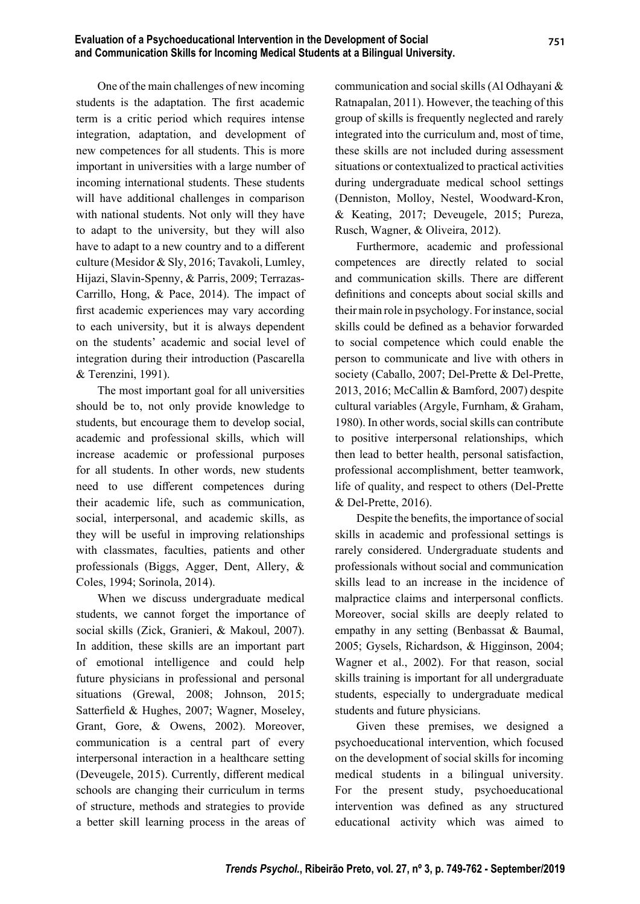One of the main challenges of new incoming students is the adaptation. The first academic term is a critic period which requires intense integration, adaptation, and development of new competences for all students. This is more important in universities with a large number of incoming international students. These students will have additional challenges in comparison with national students. Not only will they have to adapt to the university, but they will also have to adapt to a new country and to a different culture (Mesidor & Sly, 2016; Tavakoli, Lumley, Hijazi, Slavin-Spenny, & Parris, 2009; Terrazas-Carrillo, Hong, & Pace, 2014). The impact of first academic experiences may vary according to each university, but it is always dependent on the students' academic and social level of integration during their introduction (Pascarella & Terenzini, 1991).

The most important goal for all universities should be to, not only provide knowledge to students, but encourage them to develop social, academic and professional skills, which will increase academic or professional purposes for all students. In other words, new students need to use different competences during their academic life, such as communication, social, interpersonal, and academic skills, as they will be useful in improving relationships with classmates, faculties, patients and other professionals (Biggs, Agger, Dent, Allery, & Coles, 1994; Sorinola, 2014).

When we discuss undergraduate medical students, we cannot forget the importance of social skills (Zick, Granieri, & Makoul, 2007). In addition, these skills are an important part of emotional intelligence and could help future physicians in professional and personal situations (Grewal, 2008; Johnson, 2015; Satterfield & Hughes, 2007; Wagner, Moseley, Grant, Gore, & Owens, 2002). Moreover, communication is a central part of every interpersonal interaction in a healthcare setting (Deveugele, 2015). Currently, different medical schools are changing their curriculum in terms of structure, methods and strategies to provide a better skill learning process in the areas of communication and social skills (Al Odhayani & Ratnapalan, 2011). However, the teaching of this group of skills is frequently neglected and rarely integrated into the curriculum and, most of time, these skills are not included during assessment situations or contextualized to practical activities during undergraduate medical school settings (Denniston, Molloy, Nestel, Woodward-Kron, & Keating, 2017; Deveugele, 2015; Pureza, Rusch, Wagner, & Oliveira, 2012).

Furthermore, academic and professional competences are directly related to social and communication skills. There are different definitions and concepts about social skills and their main role in psychology. For instance, social skills could be defined as a behavior forwarded to social competence which could enable the person to communicate and live with others in society (Caballo, 2007; Del-Prette & Del-Prette, 2013, 2016; McCallin & Bamford, 2007) despite cultural variables (Argyle, Furnham, & Graham, 1980). In other words, social skills can contribute to positive interpersonal relationships, which then lead to better health, personal satisfaction, professional accomplishment, better teamwork, life of quality, and respect to others (Del-Prette & Del-Prette, 2016).

Despite the benefits, the importance of social skills in academic and professional settings is rarely considered. Undergraduate students and professionals without social and communication skills lead to an increase in the incidence of malpractice claims and interpersonal conflicts. Moreover, social skills are deeply related to empathy in any setting (Benbassat & Baumal, 2005; Gysels, Richardson, & Higginson, 2004; Wagner et al., 2002). For that reason, social skills training is important for all undergraduate students, especially to undergraduate medical students and future physicians.

Given these premises, we designed a psychoeducational intervention, which focused on the development of social skills for incoming medical students in a bilingual university. For the present study, psychoeducational intervention was defined as any structured educational activity which was aimed to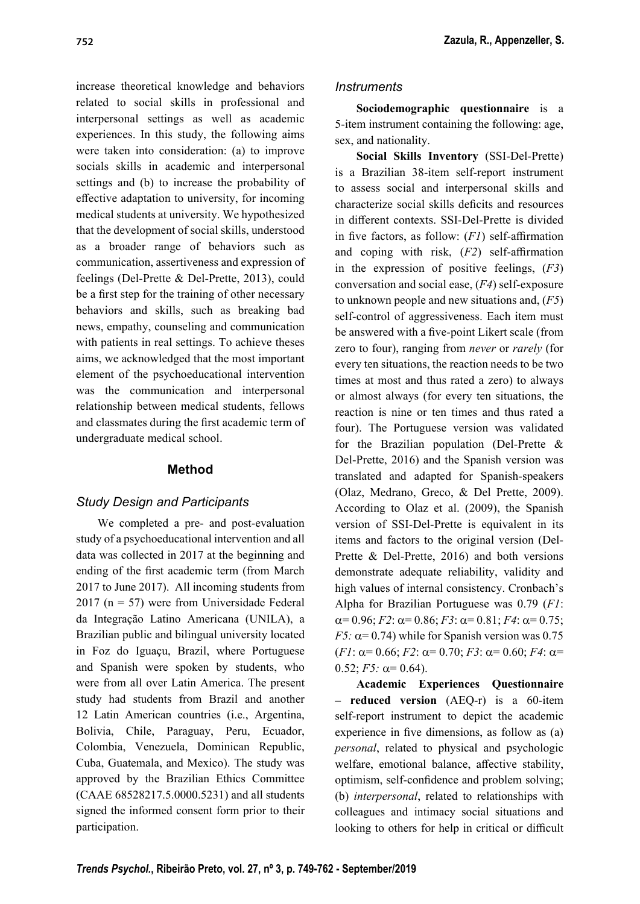increase theoretical knowledge and behaviors related to social skills in professional and interpersonal settings as well as academic experiences. In this study, the following aims were taken into consideration: (a) to improve socials skills in academic and interpersonal settings and (b) to increase the probability of effective adaptation to university, for incoming medical students at university. We hypothesized that the development of social skills, understood as a broader range of behaviors such as communication, assertiveness and expression of feelings (Del-Prette & Del-Prette, 2013), could be a first step for the training of other necessary behaviors and skills, such as breaking bad news, empathy, counseling and communication with patients in real settings. To achieve theses aims, we acknowledged that the most important element of the psychoeducational intervention was the communication and interpersonal relationship between medical students, fellows and classmates during the first academic term of undergraduate medical school.

# **Method**

# *Study Design and Participants*

We completed a pre- and post-evaluation study of a psychoeducational intervention and all data was collected in 2017 at the beginning and ending of the first academic term (from March 2017 to June 2017). All incoming students from 2017 ( $n = 57$ ) were from Universidade Federal da Integração Latino Americana (UNILA), a Brazilian public and bilingual university located in Foz do Iguaçu, Brazil, where Portuguese and Spanish were spoken by students, who were from all over Latin America. The present study had students from Brazil and another 12 Latin American countries (i.e., Argentina, Bolivia, Chile, Paraguay, Peru, Ecuador, Colombia, Venezuela, Dominican Republic, Cuba, Guatemala, and Mexico). The study was approved by the Brazilian Ethics Committee (CAAE 68528217.5.0000.5231) and all students signed the informed consent form prior to their participation.

### *Instruments*

**Sociodemographic questionnaire** is a 5-item instrument containing the following: age, sex, and nationality.

**Social Skills Inventory** (SSI-Del-Prette) is a Brazilian 38-item self-report instrument to assess social and interpersonal skills and characterize social skills deficits and resources in different contexts. SSI-Del-Prette is divided in five factors, as follow:  $(FI)$  self-affirmation and coping with risk,  $(F2)$  self-affirmation in the expression of positive feelings, (*F3*) conversation and social ease, (*F4*) self-exposure to unknown people and new situations and, (*F5*) self-control of aggressiveness. Each item must be answered with a five-point Likert scale (from zero to four), ranging from *never* or *rarely* (for every ten situations, the reaction needs to be two times at most and thus rated a zero) to always or almost always (for every ten situations, the reaction is nine or ten times and thus rated a four). The Portuguese version was validated for the Brazilian population (Del-Prette & Del-Prette, 2016) and the Spanish version was translated and adapted for Spanish-speakers (Olaz, Medrano, Greco, & Del Prette, 2009). According to Olaz et al. (2009), the Spanish version of SSI-Del-Prette is equivalent in its items and factors to the original version (Del-Prette & Del-Prette, 2016) and both versions demonstrate adequate reliability, validity and high values of internal consistency. Cronbach's Alpha for Brazilian Portuguese was 0.79 (*F1*:  $\alpha = 0.96$ ; *F2*:  $\alpha = 0.86$ ; *F3*:  $\alpha = 0.81$ ; *F4*:  $\alpha = 0.75$ ; *F5:*  $\alpha$ = 0.74) while for Spanish version was 0.75  $(F1: \alpha = 0.66; F2: \alpha = 0.70; F3: \alpha = 0.60; F4: \alpha =$  $0.52; F5: \alpha = 0.64$ .

**Academic Experiences Questionnaire – reduced version** (AEQ-r) is a 60-item self-report instrument to depict the academic experience in five dimensions, as follow as (a) *personal*, related to physical and psychologic welfare, emotional balance, affective stability, optimism, self-confidence and problem solving; (b) *interpersonal*, related to relationships with colleagues and intimacy social situations and looking to others for help in critical or difficult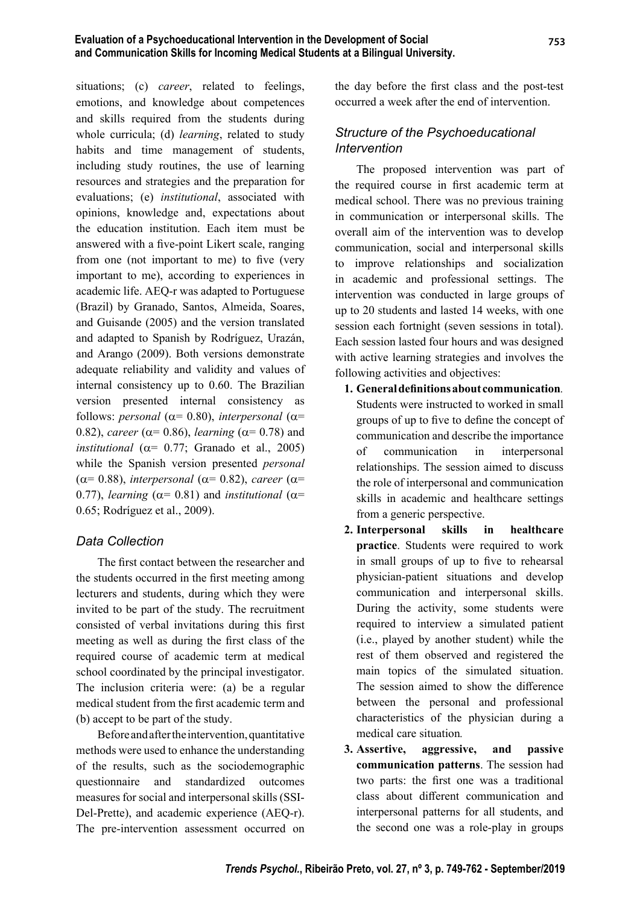situations; (c) *career*, related to feelings, emotions, and knowledge about competences and skills required from the students during whole curricula; (d) *learning*, related to study habits and time management of students, including study routines, the use of learning resources and strategies and the preparation for evaluations; (e) *institutional*, associated with opinions, knowledge and, expectations about the education institution. Each item must be answered with a five-point Likert scale, ranging from one (not important to me) to five (very important to me), according to experiences in academic life. AEQ-r was adapted to Portuguese (Brazil) by Granado, Santos, Almeida, Soares, and Guisande (2005) and the version translated and adapted to Spanish by Rodríguez, Urazán, and Arango (2009). Both versions demonstrate adequate reliability and validity and values of internal consistency up to 0.60. The Brazilian version presented internal consistency as follows: *personal* ( $\alpha$ = 0.80), *interpersonal* ( $\alpha$ = 0.82), *career* ( $\alpha$ = 0.86), *learning* ( $\alpha$ = 0.78) and *institutional* ( $\alpha$ = 0.77; Granado et al., 2005) while the Spanish version presented *personal*  ( $\alpha$ = 0.88), *interpersonal* ( $\alpha$ = 0.82), *career* ( $\alpha$ = 0.77), *learning* ( $\alpha$ = 0.81) and *institutional* ( $\alpha$ = 0.65; Rodríguez et al., 2009).

# *Data Collection*

The first contact between the researcher and the students occurred in the first meeting among lecturers and students, during which they were invited to be part of the study. The recruitment consisted of verbal invitations during this first meeting as well as during the first class of the required course of academic term at medical school coordinated by the principal investigator. The inclusion criteria were: (a) be a regular medical student from the first academic term and (b) accept to be part of the study.

Before and after the intervention, quantitative methods were used to enhance the understanding of the results, such as the sociodemographic questionnaire and standardized outcomes measures for social and interpersonal skills (SSI-Del-Prette), and academic experience (AEQ-r). The pre-intervention assessment occurred on the day before the first class and the post-test occurred a week after the end of intervention.

# *Structure of the Psychoeducational Intervention*

The proposed intervention was part of the required course in first academic term at medical school. There was no previous training in communication or interpersonal skills. The overall aim of the intervention was to develop communication, social and interpersonal skills to improve relationships and socialization in academic and professional settings. The intervention was conducted in large groups of up to 20 students and lasted 14 weeks, with one session each fortnight (seven sessions in total). Each session lasted four hours and was designed with active learning strategies and involves the following activities and objectives:

- **1. General defi nitions about communication***.* Students were instructed to worked in small groups of up to five to define the concept of communication and describe the importance of communication in interpersonal relationships. The session aimed to discuss the role of interpersonal and communication skills in academic and healthcare settings from a generic perspective.
- **2. Interpersonal skills in healthcare practice**. Students were required to work in small groups of up to five to rehearsal physician-patient situations and develop communication and interpersonal skills. During the activity, some students were required to interview a simulated patient (i.e., played by another student) while the rest of them observed and registered the main topics of the simulated situation. The session aimed to show the difference between the personal and professional characteristics of the physician during a medical care situation*.*
- **3. Assertive, aggressive, and passive communication patterns**. The session had two parts: the first one was a traditional class about different communication and interpersonal patterns for all students, and the second one was a role-play in groups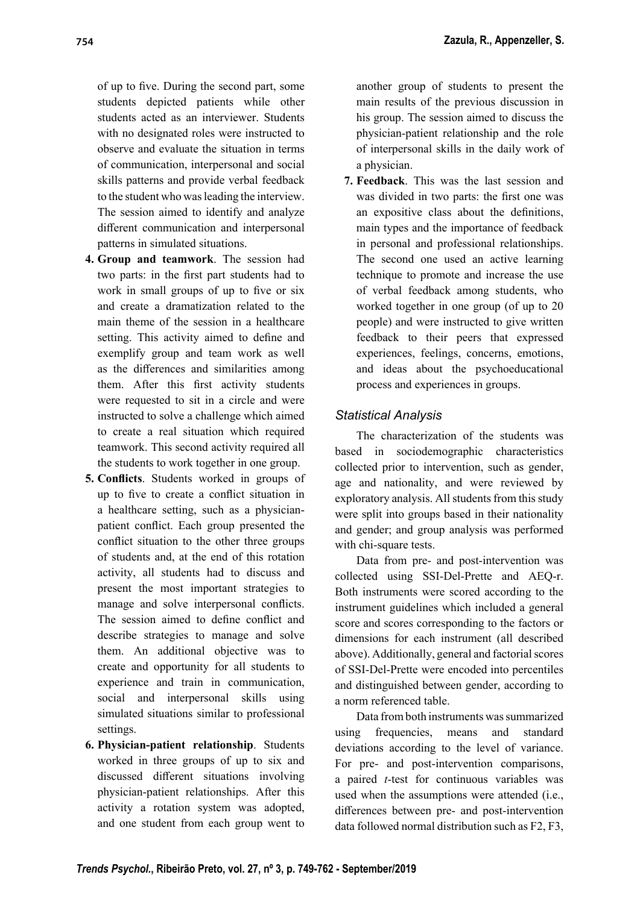of up to five. During the second part, some students depicted patients while other students acted as an interviewer. Students with no designated roles were instructed to observe and evaluate the situation in terms of communication, interpersonal and social skills patterns and provide verbal feedback to the student who was leading the interview. The session aimed to identify and analyze different communication and interpersonal patterns in simulated situations.

- **4. Group and teamwork**. The session had two parts: in the first part students had to work in small groups of up to five or six and create a dramatization related to the main theme of the session in a healthcare setting. This activity aimed to define and exemplify group and team work as well as the differences and similarities among them. After this first activity students were requested to sit in a circle and were instructed to solve a challenge which aimed to create a real situation which required teamwork. This second activity required all the students to work together in one group.
- **5. Conflicts.** Students worked in groups of up to five to create a conflict situation in a healthcare setting, such as a physicianpatient conflict. Each group presented the conflict situation to the other three groups of students and, at the end of this rotation activity, all students had to discuss and present the most important strategies to manage and solve interpersonal conflicts. The session aimed to define conflict and describe strategies to manage and solve them. An additional objective was to create and opportunity for all students to experience and train in communication, social and interpersonal skills using simulated situations similar to professional settings.
- **6. Physician-patient relationship**. Students worked in three groups of up to six and discussed different situations involving physician-patient relationships. After this activity a rotation system was adopted, and one student from each group went to

another group of students to present the main results of the previous discussion in his group. The session aimed to discuss the physician-patient relationship and the role of interpersonal skills in the daily work of a physician.

**7. Feedback**. This was the last session and was divided in two parts: the first one was an expositive class about the definitions, main types and the importance of feedback in personal and professional relationships. The second one used an active learning technique to promote and increase the use of verbal feedback among students, who worked together in one group (of up to 20 people) and were instructed to give written feedback to their peers that expressed experiences, feelings, concerns, emotions, and ideas about the psychoeducational process and experiences in groups.

# *Statistical Analysis*

The characterization of the students was based in sociodemographic characteristics collected prior to intervention, such as gender, age and nationality, and were reviewed by exploratory analysis. All students from this study were split into groups based in their nationality and gender; and group analysis was performed with chi-square tests.

Data from pre- and post-intervention was collected using SSI-Del-Prette and AEQ-r. Both instruments were scored according to the instrument guidelines which included a general score and scores corresponding to the factors or dimensions for each instrument (all described above). Additionally, general and factorial scores of SSI-Del-Prette were encoded into percentiles and distinguished between gender, according to a norm referenced table.

Data from both instruments was summarized using frequencies, means and standard deviations according to the level of variance. For pre- and post-intervention comparisons, a paired *t*-test for continuous variables was used when the assumptions were attended (i.e., differences between pre- and post-intervention data followed normal distribution such as F2, F3,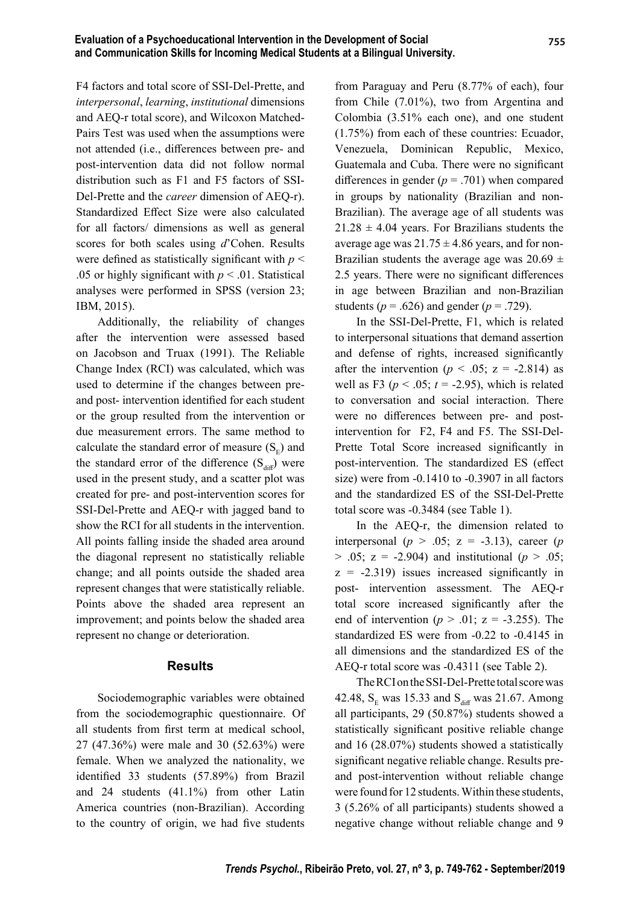F4 factors and total score of SSI-Del-Prette, and *interpersonal*, *learning*, *institutional* dimensions and AEQ-r total score), and Wilcoxon Matched-Pairs Test was used when the assumptions were not attended (i.e., differences between pre- and post-intervention data did not follow normal distribution such as F1 and F5 factors of SSI-Del-Prette and the *career* dimension of AEQ-r). Standardized Effect Size were also calculated for all factors/ dimensions as well as general scores for both scales using *d*'Cohen. Results were defined as statistically significant with  $p <$ .05 or highly significant with  $p < 0.01$ . Statistical analyses were performed in SPSS (version 23; IBM, 2015).

Additionally, the reliability of changes after the intervention were assessed based on Jacobson and Truax (1991). The Reliable Change Index (RCI) was calculated, which was used to determine if the changes between preand post- intervention identified for each student or the group resulted from the intervention or due measurement errors. The same method to calculate the standard error of measure  $(S<sub>E</sub>)$  and the standard error of the difference  $(S_{\text{diff}})$  were used in the present study, and a scatter plot was created for pre- and post-intervention scores for SSI-Del-Prette and AEQ-r with jagged band to show the RCI for all students in the intervention. All points falling inside the shaded area around the diagonal represent no statistically reliable change; and all points outside the shaded area represent changes that were statistically reliable. Points above the shaded area represent an improvement; and points below the shaded area represent no change or deterioration.

#### **Results**

Sociodemographic variables were obtained from the sociodemographic questionnaire. Of all students from first term at medical school, 27 (47.36%) were male and 30 (52.63%) were female. When we analyzed the nationality, we identified 33 students (57.89%) from Brazil and 24 students (41.1%) from other Latin America countries (non-Brazilian). According to the country of origin, we had five students

from Paraguay and Peru (8.77% of each), four from Chile (7.01%), two from Argentina and Colombia (3.51% each one), and one student (1.75%) from each of these countries: Ecuador, Venezuela, Dominican Republic, Mexico, Guatemala and Cuba. There were no significant differences in gender  $(p = .701)$  when compared in groups by nationality (Brazilian and non-Brazilian). The average age of all students was  $21.28 \pm 4.04$  years. For Brazilians students the average age was  $21.75 \pm 4.86$  years, and for non-Brazilian students the average age was  $20.69 \pm$ 2.5 years. There were no significant differences in age between Brazilian and non-Brazilian students ( $p = .626$ ) and gender ( $p = .729$ ).

In the SSI-Del-Prette, F1, which is related to interpersonal situations that demand assertion and defense of rights, increased significantly after the intervention ( $p < .05$ ;  $z = -2.814$ ) as well as F3 ( $p < .05$ ;  $t = -2.95$ ), which is related to conversation and social interaction. There were no differences between pre- and postintervention for F2, F4 and F5. The SSI-Del-Prette Total Score increased significantly in post-intervention. The standardized ES (effect size) were from -0.1410 to -0.3907 in all factors and the standardized ES of the SSI-Del-Prette total score was -0.3484 (see Table 1).

In the AEQ-r, the dimension related to interpersonal ( $p > .05$ ;  $z = -3.13$ ), career ( $p$  $> .05$ ; z = -2.904) and institutional ( $p > .05$ ;  $z = -2.319$ ) issues increased significantly in post- intervention assessment. The AEQ-r total score increased significantly after the end of intervention ( $p > .01$ ;  $z = -3.255$ ). The standardized ES were from -0.22 to -0.4145 in all dimensions and the standardized ES of the AEQ-r total score was -0.4311 (see Table 2).

The RCI on the SSI-Del-Prette total score was 42.48,  $S_E$  was 15.33 and  $S_{diff}$  was 21.67. Among all participants, 29 (50.87%) students showed a statistically significant positive reliable change and 16 (28.07%) students showed a statistically significant negative reliable change. Results preand post-intervention without reliable change were found for 12 students. Within these students, 3 (5.26% of all participants) students showed a negative change without reliable change and 9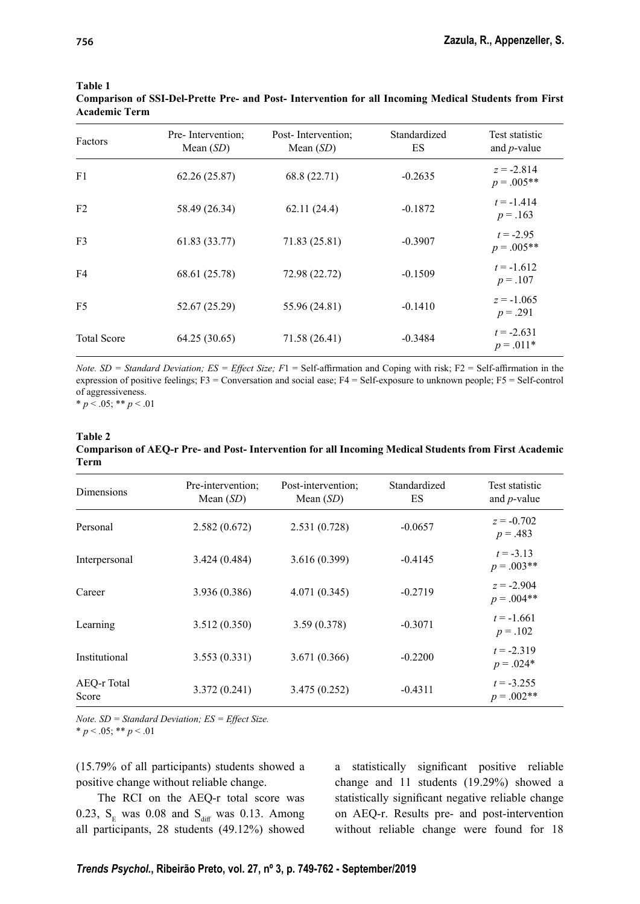| Factors            | Pre-Intervention;<br>Mean $(SD)$ | Post-Intervention;<br>Mean $(SD)$ | Standardized<br>ES | Test statistic<br>and $p$ -value |
|--------------------|----------------------------------|-----------------------------------|--------------------|----------------------------------|
| F1                 | 62.26(25.87)                     | 68.8 (22.71)                      | $-0.2635$          | $z = -2.814$<br>$p=.005**$       |
| F <sub>2</sub>     | 58.49 (26.34)                    | 62.11(24.4)                       | $-0.1872$          | $t = -1.414$<br>$p = .163$       |
| F <sub>3</sub>     | 61.83 (33.77)                    | 71.83 (25.81)                     | $-0.3907$          | $t = -2.95$<br>$p=.005**$        |
| F <sub>4</sub>     | 68.61 (25.78)                    | 72.98 (22.72)                     | $-0.1509$          | $t = -1.612$<br>$p = .107$       |
| F <sub>5</sub>     | 52.67 (25.29)                    | 55.96 (24.81)                     | $-0.1410$          | $z = -1.065$<br>$p = .291$       |
| <b>Total Score</b> | 64.25 (30.65)                    | 71.58 (26.41)                     | $-0.3484$          | $t = -2.631$<br>$p = .011*$      |

#### **Table 1**

**Comparison of SSI-Del-Prette Pre- and Post- Intervention for all Incoming Medical Students from First Academic Term**

*Note. SD = Standard Deviation; ES = Effect Size; F1 = Self-affirmation and Coping with risk; F2 = Self-affirmation in the* expression of positive feelings; F3 = Conversation and social ease; F4 = Self-exposure to unknown people; F5 = Self-control of aggressiveness.

 $* p < .05; ** p < .01$ 

#### **Table 2 Comparison of AEQ-r Pre- and Post- Intervention for all Incoming Medical Students from First Academic Term**

| Dimensions           | Pre-intervention;<br>Mean $(SD)$ | Post-intervention;<br>Mean $(SD)$ | Standardized<br>ES | Test statistic<br>and $p$ -value |
|----------------------|----------------------------------|-----------------------------------|--------------------|----------------------------------|
| Personal             | 2.582(0.672)                     | 2.531(0.728)                      | $-0.0657$          | $z = -0.702$<br>$p = .483$       |
| Interpersonal        | 3.424(0.484)                     | 3.616(0.399)                      | $-0.4145$          | $t = -3.13$<br>$p=.003**$        |
| Career               | 3.936 (0.386)                    | 4.071(0.345)                      | $-0.2719$          | $z = -2.904$<br>$p = .004**$     |
| Learning             | 3.512(0.350)                     | 3.59(0.378)                       | $-0.3071$          | $t = -1.661$<br>$p = .102$       |
| Institutional        | 3.553(0.331)                     | 3.671 (0.366)                     | $-0.2200$          | $t = -2.319$<br>$p = .024*$      |
| AEQ-r Total<br>Score | 3.372(0.241)                     | 3.475(0.252)                      | $-0.4311$          | $t = -3.255$<br>$p=.002**$       |

*Note. SD = Standard Deviation; ES = Effect Size.*  $* p < .05; ** p < .01$ 

(15.79% of all participants) students showed a positive change without reliable change.

The RCI on the AEQ-r total score was 0.23,  $S_E$  was 0.08 and  $S_{diff}$  was 0.13. Among all participants, 28 students (49.12%) showed a statistically significant positive reliable change and 11 students (19.29%) showed a statistically significant negative reliable change on AEQ-r. Results pre- and post-intervention without reliable change were found for 18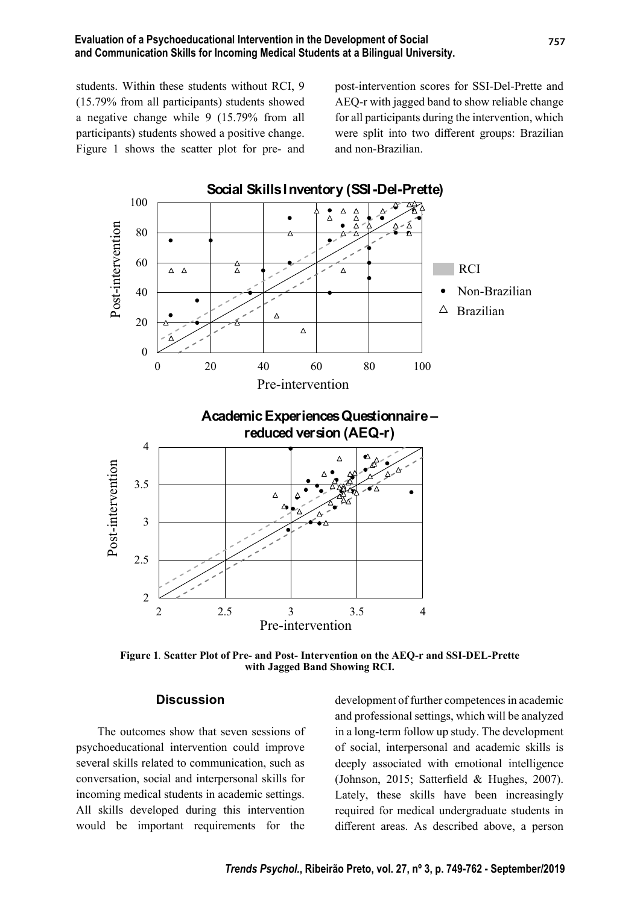students. Within these students without RCI, 9 (15.79% from all participants) students showed a negative change while 9 (15.79% from all participants) students showed a positive change. Figure 1 shows the scatter plot for pre- and post-intervention scores for SSI-Del-Prette and AEQ-r with jagged band to show reliable change for all participants during the intervention, which were split into two different groups: Brazilian and non-Brazilian.



**Figure 1***.* **Scatter Plot of Pre- and Post- Intervention on the AEQ-r and SSI-DEL-Prette with Jagged Band Showing RCI.**

### **Discussion**

The outcomes show that seven sessions of psychoeducational intervention could improve several skills related to communication, such as conversation, social and interpersonal skills for incoming medical students in academic settings. All skills developed during this intervention would be important requirements for the

development of further competences in academic and professional settings, which will be analyzed in a long-term follow up study. The development of social, interpersonal and academic skills is deeply associated with emotional intelligence (Johnson, 2015; Satterfield & Hughes, 2007). Lately, these skills have been increasingly required for medical undergraduate students in different areas. As described above, a person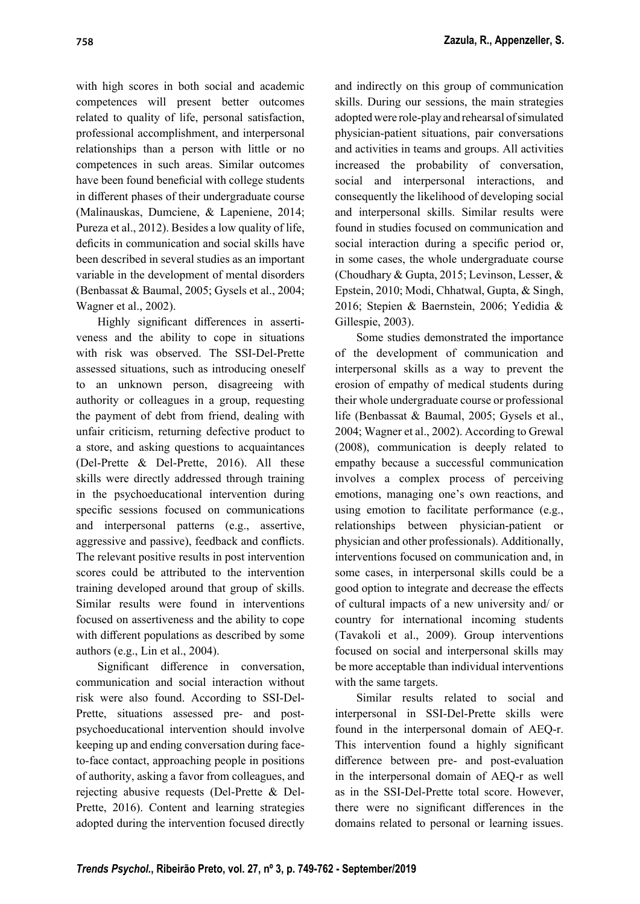with high scores in both social and academic competences will present better outcomes related to quality of life, personal satisfaction, professional accomplishment, and interpersonal relationships than a person with little or no competences in such areas. Similar outcomes have been found beneficial with college students in different phases of their undergraduate course (Malinauskas, Dumciene, & Lapeniene, 2014; Pureza et al., 2012). Besides a low quality of life, deficits in communication and social skills have been described in several studies as an important variable in the development of mental disorders (Benbassat & Baumal, 2005; Gysels et al., 2004; Wagner et al., 2002).

Highly significant differences in assertiveness and the ability to cope in situations with risk was observed. The SSI-Del-Prette assessed situations, such as introducing oneself to an unknown person, disagreeing with authority or colleagues in a group, requesting the payment of debt from friend, dealing with unfair criticism, returning defective product to a store, and asking questions to acquaintances (Del-Prette & Del-Prette, 2016). All these skills were directly addressed through training in the psychoeducational intervention during specific sessions focused on communications and interpersonal patterns (e.g., assertive, aggressive and passive), feedback and conflicts. The relevant positive results in post intervention scores could be attributed to the intervention training developed around that group of skills. Similar results were found in interventions focused on assertiveness and the ability to cope with different populations as described by some authors (e.g., Lin et al., 2004).

Significant difference in conversation, communication and social interaction without risk were also found. According to SSI-Del-Prette, situations assessed pre- and postpsychoeducational intervention should involve keeping up and ending conversation during faceto-face contact, approaching people in positions of authority, asking a favor from colleagues, and rejecting abusive requests (Del-Prette & Del-Prette, 2016). Content and learning strategies adopted during the intervention focused directly and indirectly on this group of communication skills. During our sessions, the main strategies adopted were role-play and rehearsal of simulated physician-patient situations, pair conversations and activities in teams and groups. All activities increased the probability of conversation, social and interpersonal interactions, and consequently the likelihood of developing social and interpersonal skills. Similar results were found in studies focused on communication and social interaction during a specific period or, in some cases, the whole undergraduate course (Choudhary & Gupta, 2015; Levinson, Lesser, & Epstein, 2010; Modi, Chhatwal, Gupta, & Singh, 2016; Stepien & Baernstein, 2006; Yedidia & Gillespie, 2003).

Some studies demonstrated the importance of the development of communication and interpersonal skills as a way to prevent the erosion of empathy of medical students during their whole undergraduate course or professional life (Benbassat & Baumal, 2005; Gysels et al., 2004; Wagner et al., 2002). According to Grewal (2008), communication is deeply related to empathy because a successful communication involves a complex process of perceiving emotions, managing one's own reactions, and using emotion to facilitate performance (e.g., relationships between physician-patient or physician and other professionals). Additionally, interventions focused on communication and, in some cases, in interpersonal skills could be a good option to integrate and decrease the effects of cultural impacts of a new university and/ or country for international incoming students (Tavakoli et al., 2009). Group interventions focused on social and interpersonal skills may be more acceptable than individual interventions with the same targets.

Similar results related to social and interpersonal in SSI-Del-Prette skills were found in the interpersonal domain of AEQ-r. This intervention found a highly significant difference between pre- and post-evaluation in the interpersonal domain of AEQ-r as well as in the SSI-Del-Prette total score. However, there were no significant differences in the domains related to personal or learning issues.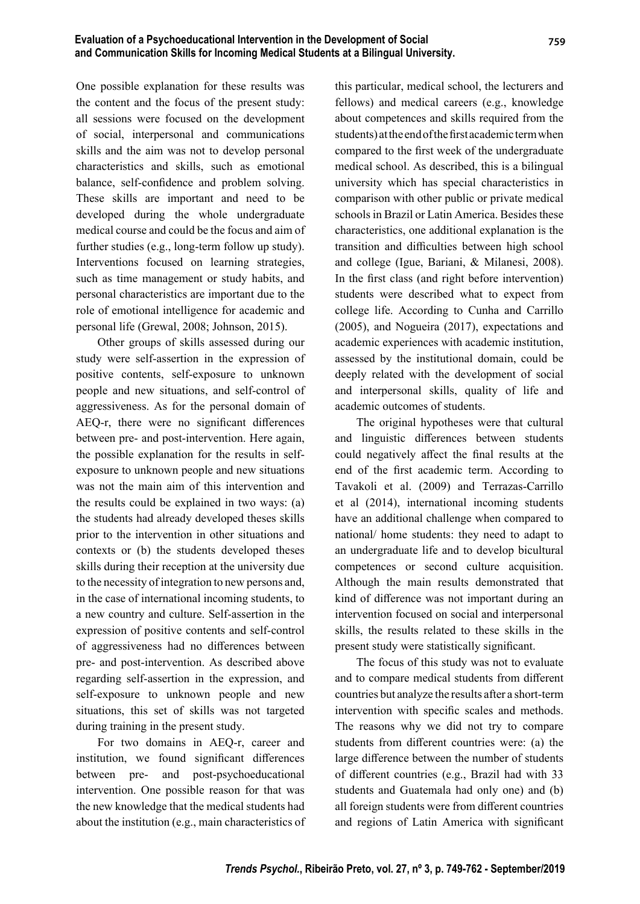One possible explanation for these results was the content and the focus of the present study: all sessions were focused on the development of social, interpersonal and communications skills and the aim was not to develop personal characteristics and skills, such as emotional balance, self-confidence and problem solving. These skills are important and need to be developed during the whole undergraduate medical course and could be the focus and aim of further studies (e.g., long-term follow up study). Interventions focused on learning strategies, such as time management or study habits, and personal characteristics are important due to the role of emotional intelligence for academic and personal life (Grewal, 2008; Johnson, 2015).

Other groups of skills assessed during our study were self-assertion in the expression of positive contents, self-exposure to unknown people and new situations, and self-control of aggressiveness. As for the personal domain of AEQ-r, there were no significant differences between pre- and post-intervention. Here again, the possible explanation for the results in selfexposure to unknown people and new situations was not the main aim of this intervention and the results could be explained in two ways: (a) the students had already developed theses skills prior to the intervention in other situations and contexts or (b) the students developed theses skills during their reception at the university due to the necessity of integration to new persons and, in the case of international incoming students, to a new country and culture. Self-assertion in the expression of positive contents and self-control of aggressiveness had no differences between pre- and post-intervention. As described above regarding self-assertion in the expression, and self-exposure to unknown people and new situations, this set of skills was not targeted during training in the present study.

For two domains in AEQ-r, career and institution, we found significant differences between pre- and post-psychoeducational intervention. One possible reason for that was the new knowledge that the medical students had about the institution (e.g., main characteristics of this particular, medical school, the lecturers and fellows) and medical careers (e.g., knowledge about competences and skills required from the students) at the end of the first academic term when compared to the first week of the undergraduate medical school. As described, this is a bilingual university which has special characteristics in comparison with other public or private medical schools in Brazil or Latin America. Besides these characteristics, one additional explanation is the transition and difficulties between high school and college (Igue, Bariani, & Milanesi, 2008). In the first class (and right before intervention) students were described what to expect from college life. According to Cunha and Carrillo (2005), and Nogueira (2017), expectations and academic experiences with academic institution, assessed by the institutional domain, could be deeply related with the development of social and interpersonal skills, quality of life and academic outcomes of students.

The original hypotheses were that cultural and linguistic differences between students could negatively affect the final results at the end of the first academic term. According to Tavakoli et al. (2009) and Terrazas-Carrillo et al (2014), international incoming students have an additional challenge when compared to national/ home students: they need to adapt to an undergraduate life and to develop bicultural competences or second culture acquisition. Although the main results demonstrated that kind of difference was not important during an intervention focused on social and interpersonal skills, the results related to these skills in the present study were statistically significant.

The focus of this study was not to evaluate and to compare medical students from different countries but analyze the results after a short-term intervention with specific scales and methods. The reasons why we did not try to compare students from different countries were: (a) the large difference between the number of students of different countries (e.g., Brazil had with 33 students and Guatemala had only one) and (b) all foreign students were from different countries and regions of Latin America with significant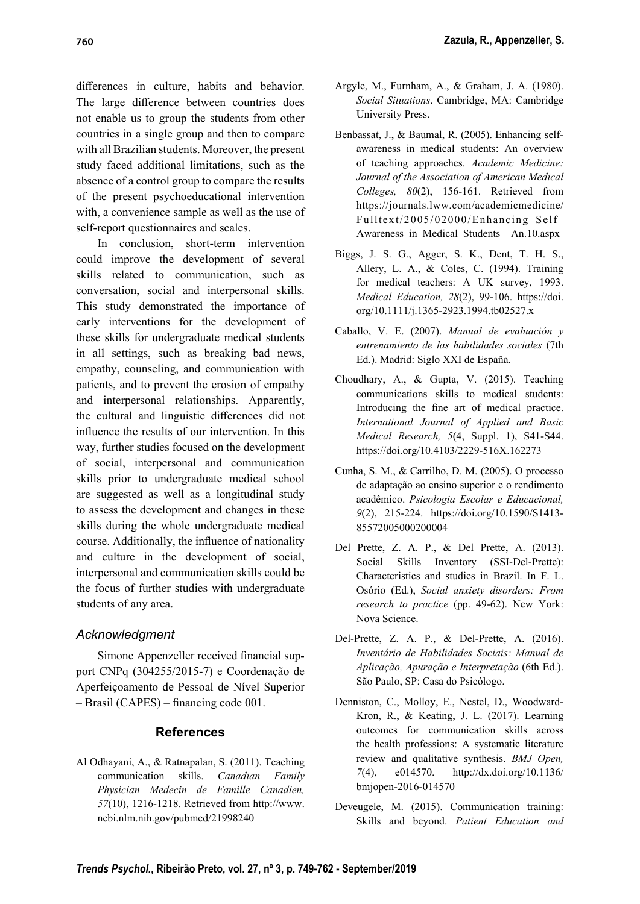differences in culture, habits and behavior. The large difference between countries does not enable us to group the students from other countries in a single group and then to compare with all Brazilian students. Moreover, the present study faced additional limitations, such as the absence of a control group to compare the results of the present psychoeducational intervention with, a convenience sample as well as the use of self-report questionnaires and scales.

In conclusion, short-term intervention could improve the development of several skills related to communication, such as conversation, social and interpersonal skills. This study demonstrated the importance of early interventions for the development of these skills for undergraduate medical students in all settings, such as breaking bad news, empathy, counseling, and communication with patients, and to prevent the erosion of empathy and interpersonal relationships. Apparently, the cultural and linguistic differences did not influence the results of our intervention. In this way, further studies focused on the development of social, interpersonal and communication skills prior to undergraduate medical school are suggested as well as a longitudinal study to assess the development and changes in these skills during the whole undergraduate medical course. Additionally, the influence of nationality and culture in the development of social, interpersonal and communication skills could be the focus of further studies with undergraduate students of any area.

# *Acknowledgment*

Simone Appenzeller received financial support CNPq (304255/2015-7) e Coordenação de Aperfeiçoamento de Pessoal de Nível Superior  $-$  Brasil (CAPES) – financing code 001.

# **References**

Al Odhayani, A., & Ratnapalan, S. (2011). Teaching communication skills. *Canadian Family Physician Medecin de Famille Canadien, 57*(10), 1216-1218. Retrieved from http://www. ncbi.nlm.nih.gov/pubmed/21998240

- Argyle, M., Furnham, A., & Graham, J. A. (1980). *Social Situations*. Cambridge, MA: Cambridge University Press.
- Benbassat, J., & Baumal, R. (2005). Enhancing selfawareness in medical students: An overview of teaching approaches. *Academic Medicine: Journal of the Association of American Medical Colleges, 80*(2), 156-161. Retrieved from https://journals.lww.com/academicmedicine/ Fulltext/2005/02000/Enhancing\_Self\_ Awareness in Medical Students An.10.aspx
- Biggs, J. S. G., Agger, S. K., Dent, T. H. S., Allery, L. A., & Coles, C. (1994). Training for medical teachers: A UK survey, 1993. *Medical Education, 28*(2), 99-106. https://doi. org/10.1111/j.1365-2923.1994.tb02527.x
- Caballo, V. E. (2007). *Manual de evaluación y entrenamiento de las habilidades sociales* (7th Ed.). Madrid: Siglo XXI de España.
- Choudhary, A., & Gupta, V. (2015). Teaching communications skills to medical students: Introducing the fine art of medical practice. *International Journal of Applied and Basic Medical Research, 5*(4, Suppl. 1), S41-S44. https://doi.org/10.4103/2229-516X.162273
- Cunha, S. M., & Carrilho, D. M. (2005). O processo de adaptação ao ensino superior e o rendimento acadêmico. *Psicologia Escolar e Educacional, 9*(2), 215-224. https://doi.org/10.1590/S1413- 85572005000200004
- Del Prette, Z. A. P., & Del Prette, A. (2013). Social Skills Inventory (SSI-Del-Prette): Characteristics and studies in Brazil. In F. L. Osó rio (Ed.), *Social anxiety disorders: From research to practice* (pp. 49-62). New York: Nova Science.
- Del-Prette, Z. A. P., & Del-Prette, A. (2016). *Inventário de Habilidades Sociais: Manual de Aplicação, Apuração e Interpretação* (6th Ed.). São Paulo, SP: Casa do Psicólogo.
- Denniston, C., Molloy, E., Nestel, D., Woodward-Kron, R., & Keating, J. L. (2017). Learning outcomes for communication skills across the health professions: A systematic literature review and qualitative synthesis. *BMJ Open, 7*(4), e014570. http://dx.doi.org/10.1136/ bmjopen-2016-014570
- Deveugele, M. (2015). Communication training: Skills and beyond. *Patient Education and*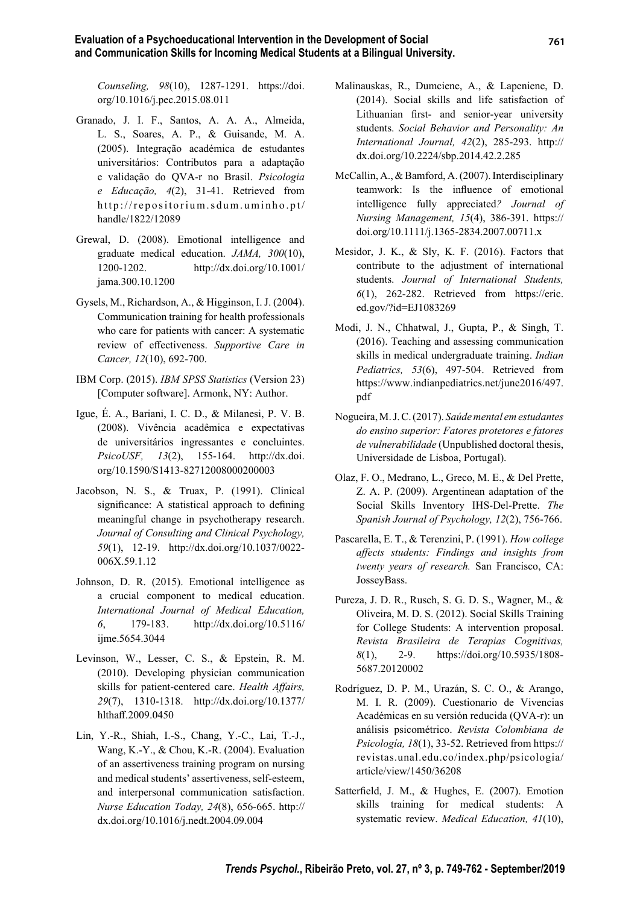*Counseling, 98*(10), 1287-1291. https://doi. org/10.1016/j.pec.2015.08.011

- Granado, J. I. F., Santos, A. A. A., Almeida, L. S., Soares, A. P., & Guisande, M. A. (2005). Integração académica de estudantes universitários: Contributos para a adaptação e validação do QVA-r no Brasil. *Psicologia e Educação, 4*(2), 31-41. Retrieved from http://repositorium.sdum.uminho.pt/ handle/1822/12089
- Grewal, D. (2008). Emotional intelligence and graduate medical education. *JAMA, 300*(10), 1200-1202. http://dx.doi.org/10.1001/ jama.300.10.1200
- Gysels, M., Richardson, A., & Higginson, I. J. (2004). Communication training for health professionals who care for patients with cancer: A systematic review of effectiveness. Supportive Care in *Cancer, 12*(10), 692-700.
- IBM Corp. (2015). *IBM SPSS Statistics* (Version 23) [Computer software]. Armonk, NY: Author.
- Igue, É. A., Bariani, I. C. D., & Milanesi, P. V. B. (2008). Vivência acadêmica e expectativas de universitários ingressantes e concluintes. *PsicoUSF, 13*(2), 155-164. http://dx.doi. org/10.1590/S1413-82712008000200003
- Jacobson, N. S., & Truax, P. (1991). Clinical significance: A statistical approach to defining meaningful change in psychotherapy research. *Journal of Consulting and Clinical Psychology, 59*(1), 12-19. http://dx.doi.org/10.1037/0022- 006X.59.1.12
- Johnson, D. R. (2015). Emotional intelligence as a crucial component to medical education. *International Journal of Medical Education, 6*, 179-183. http://dx.doi.org/10.5116/ ijme.5654.3044
- Levinson, W., Lesser, C. S., & Epstein, R. M. (2010). Developing physician communication skills for patient-centered care. *Health Affairs*, *29*(7), 1310-1318. http://dx.doi.org/10.1377/ hlthaff.2009.0450
- Lin, Y.-R., Shiah, I.-S., Chang, Y.-C., Lai, T.-J., Wang, K.-Y., & Chou, K.-R. (2004). Evaluation of an assertiveness training program on nursing and medical students' assertiveness, self-esteem, and interpersonal communication satisfaction. *Nurse Education Today, 24*(8), 656-665. http:// dx.doi.org/10.1016/j.nedt.2004.09.004
- Malinauskas, R., Dumciene, A., & Lapeniene, D. (2014). Social skills and life satisfaction of Lithuanian first- and senior-year university students. *Social Behavior and Personality: An International Journal, 42*(2), 285-293. http:// dx.doi.org/10.2224/sbp.2014.42.2.285
- McCallin, A., & Bamford, A. (2007). Interdisciplinary teamwork: Is the influence of emotional intelligence fully appreciated*? Journal of Nursing Management, 15*(4), 386-391. https:// doi.org/10.1111/j.1365-2834.2007.00711.x
- Mesidor, J. K., & Sly, K. F. (2016). Factors that contribute to the adjustment of international students. *Journal of International Students, 6*(1), 262-282. Retrieved from https://eric. ed.gov/?id=EJ1083269
- Modi, J. N., Chhatwal, J., Gupta, P., & Singh, T. (2016). Teaching and assessing communication skills in medical undergraduate training. *Indian Pediatrics, 53*(6), 497-504. Retrieved from https://www.indianpediatrics.net/june2016/497. pdf
- Nogueira, M. J. C. (2017). *Saúde mental em estudantes do ensino superior: Fatores protetores e fatores de vulnerabilidade* (Unpublished doctoral thesis, Universidade de Lisboa, Portugal).
- Olaz, F. O., Medrano, L., Greco, M. E., & Del Prette, Z. A. P. (2009). Argentinean adaptation of the Social Skills Inventory IHS-Del-Prette. *The Spanish Journal of Psychology, 12*(2), 756-766.
- Pascarella, E. T., & Terenzini, P. (1991). *How college aff ects students: Findings and insights from twenty years of research.* San Francisco, CA: JosseyBass.
- Pureza, J. D. R., Rusch, S. G. D. S., Wagner, M., & Oliveira, M. D. S. (2012). Social Skills Training for College Students: A intervention proposal. *Revista Brasileira de Terapias Cognitivas, 8*(1), 2-9. https://doi.org/10.5935/1808- 5687.20120002
- Rodríguez, D. P. M., Urazán, S. C. O., & Arango, M. I. R. (2009). Cuestionario de Vivencias Académicas en su versión reducida (QVA-r): un aná lisis psicomé trico. *Revista Colombiana de Psicología, 18*(1), 33-52. Retrieved from https:// revistas.unal.edu.co/index.php/psicologia/ article/view/1450/36208
- Satterfield, J. M., & Hughes, E. (2007). Emotion skills training for medical students: A systematic review. *Medical Education, 41*(10),